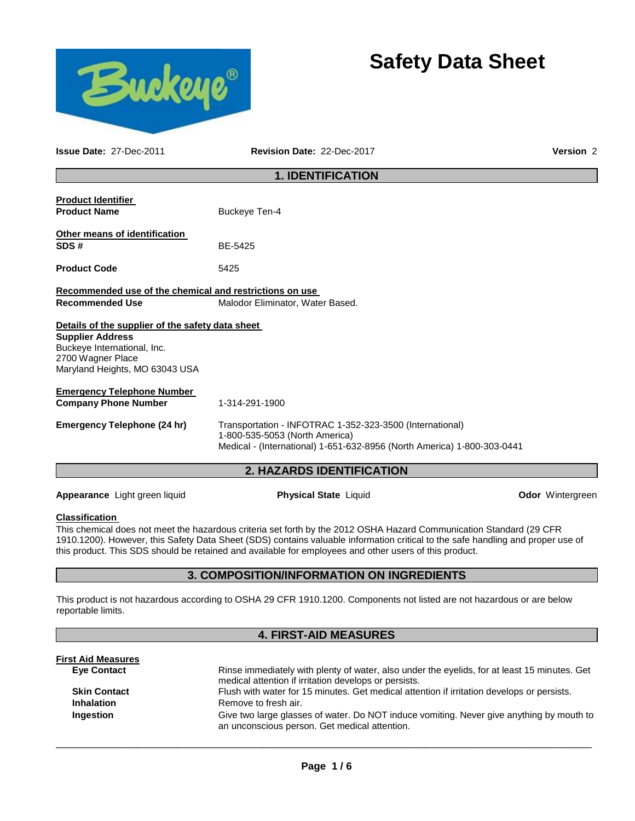# **Safety Data Sheet**



**Issue Date:** 27-Dec-2011 **Revision Date:** 22-Dec-2017 **Version** 2

# **1. IDENTIFICATION**

| <b>Product Identifier</b><br><b>Product Name</b>                                                              | Buckeye Ten-4                                                                                                                                                         |
|---------------------------------------------------------------------------------------------------------------|-----------------------------------------------------------------------------------------------------------------------------------------------------------------------|
| <b>Other means of identification</b><br>SDS#                                                                  | BE-5425                                                                                                                                                               |
| <b>Product Code</b>                                                                                           | 5425                                                                                                                                                                  |
| Recommended use of the chemical and restrictions on use<br><b>Recommended Use</b>                             | Malodor Eliminator, Water Based.                                                                                                                                      |
| Details of the supplier of the safety data sheet                                                              |                                                                                                                                                                       |
| <b>Supplier Address</b><br>Buckeye International, Inc.<br>2700 Wagner Place<br>Maryland Heights, MO 63043 USA |                                                                                                                                                                       |
| <b>Emergency Telephone Number</b>                                                                             |                                                                                                                                                                       |
| <b>Company Phone Number</b>                                                                                   | 1-314-291-1900                                                                                                                                                        |
| Emergency Telephone (24 hr)                                                                                   | Transportation - INFOTRAC 1-352-323-3500 (International)<br>1-800-535-5053 (North America)<br>Medical - (International) 1-651-632-8956 (North America) 1-800-303-0441 |
|                                                                                                               | <b>2. HAZARDS IDENTIFICATION</b>                                                                                                                                      |

**Appearance** Light green liquid **Physical State** Liquid **Odor** Wintergreen

# **Classification**

This chemical does not meet the hazardous criteria set forth by the 2012 OSHA Hazard Communication Standard (29 CFR 1910.1200). However, this Safety Data Sheet (SDS) contains valuable information critical to the safe handling and proper use of this product. This SDS should be retained and available for employees and other users of this product.

# **3. COMPOSITION/INFORMATION ON INGREDIENTS**

This product is not hazardous according to OSHA 29 CFR 1910.1200. Components not listed are not hazardous or are below reportable limits.

# **4. FIRST-AID MEASURES**

| <b>First Aid Measures</b> |                                                                                                                                                       |
|---------------------------|-------------------------------------------------------------------------------------------------------------------------------------------------------|
| <b>Eye Contact</b>        | Rinse immediately with plenty of water, also under the eyelids, for at least 15 minutes. Get<br>medical attention if irritation develops or persists. |
|                           |                                                                                                                                                       |
| <b>Skin Contact</b>       | Flush with water for 15 minutes. Get medical attention if irritation develops or persists.                                                            |
| <b>Inhalation</b>         | Remove to fresh air.                                                                                                                                  |
| Ingestion                 | Give two large glasses of water. Do NOT induce vomiting. Never give anything by mouth to<br>an unconscious person. Get medical attention.             |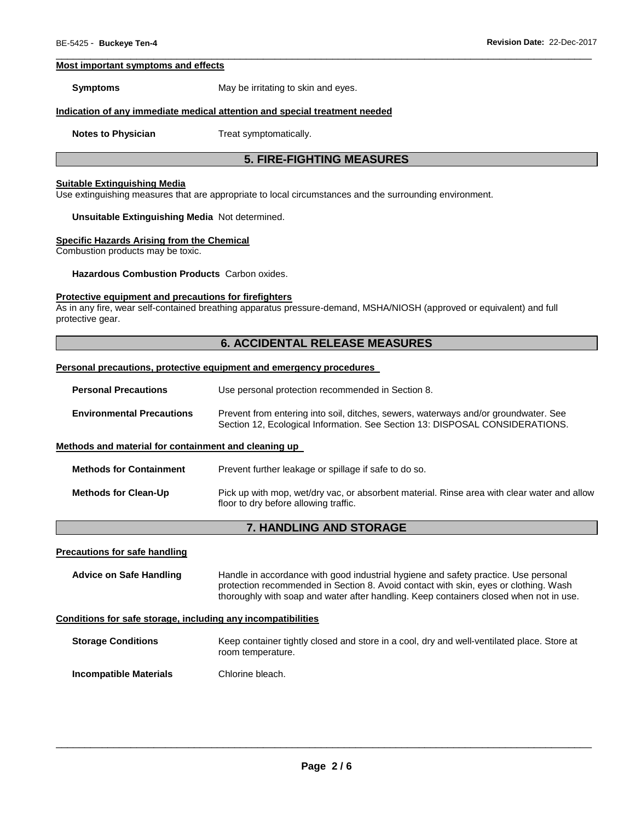#### **Most important symptoms and effects**

**Symptoms May be irritating to skin and eyes.** 

#### **Indication of any immediate medical attention and special treatment needed**

**Notes to Physician**  Treat symptomatically.

# **5. FIRE-FIGHTING MEASURES**

\_\_\_\_\_\_\_\_\_\_\_\_\_\_\_\_\_\_\_\_\_\_\_\_\_\_\_\_\_\_\_\_\_\_\_\_\_\_\_\_\_\_\_\_\_\_\_\_\_\_\_\_\_\_\_\_\_\_\_\_\_\_\_\_\_\_\_\_\_\_\_\_\_\_\_\_\_\_\_\_\_\_\_\_\_\_\_\_\_\_\_\_\_

#### **Suitable Extinguishing Media**

Use extinguishing measures that are appropriate to local circumstances and the surrounding environment.

#### **Unsuitable Extinguishing Media** Not determined.

# **Specific Hazards Arising from the Chemical**

Combustion products may be toxic.

**Hazardous Combustion Products** Carbon oxides.

# **Protective equipment and precautions for firefighters**

As in any fire, wear self-contained breathing apparatus pressure-demand, MSHA/NIOSH (approved or equivalent) and full protective gear.

# **6. ACCIDENTAL RELEASE MEASURES**

#### **Personal precautions, protective equipment and emergency procedures**

| <b>Personal Precautions</b> | Use personal protection recommended in Section 8. |
|-----------------------------|---------------------------------------------------|
|-----------------------------|---------------------------------------------------|

**Methods for Containment** Prevent further leakage or spillage if safe to do so.

| <b>Environmental Precautions</b> | Prevent from entering into soil, ditches, sewers, waterways and/or groundwater. See |  |
|----------------------------------|-------------------------------------------------------------------------------------|--|
|                                  | Section 12, Ecological Information. See Section 13: DISPOSAL CONSIDERATIONS.        |  |

#### **Methods and material for containment and cleaning up**

| <b>Methods for Clean-Up</b><br>floor to dry before allowing traffic. | Pick up with mop, wet/dry vac, or absorbent material. Rinse area with clear water and allow |
|----------------------------------------------------------------------|---------------------------------------------------------------------------------------------|

# **7. HANDLING AND STORAGE**

#### **Precautions for safe handling**

**Advice on Safe Handling** Handle in accordance with good industrial hygiene and safety practice. Use personal protection recommended in Section 8. Avoid contact with skin, eyes or clothing. Wash thoroughly with soap and water after handling. Keep containers closed when not in use.

#### **Conditions for safe storage, including any incompatibilities**

**Storage Conditions Keep container tightly closed and store in a cool, dry and well-ventilated place. Store at** room temperature.

**Incompatible Materials Chlorine bleach.**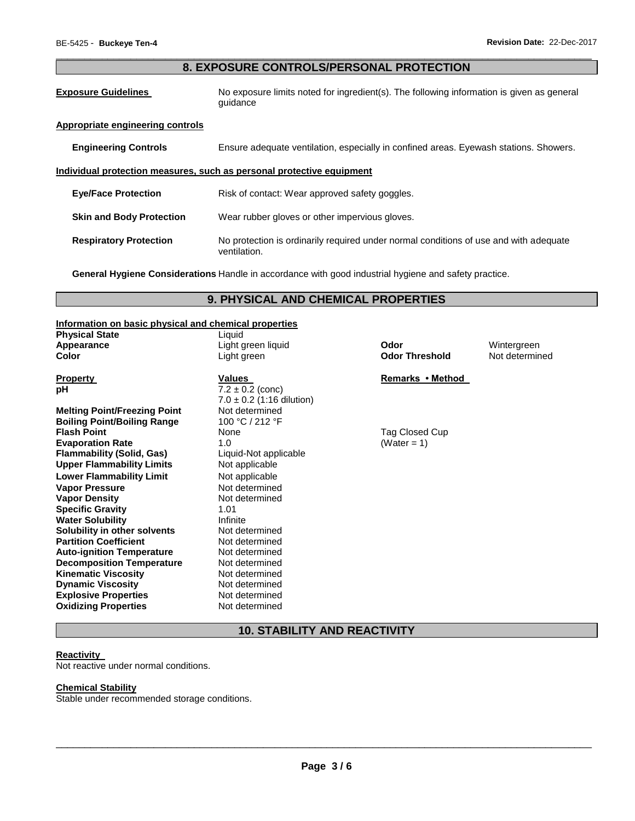# \_\_\_\_\_\_\_\_\_\_\_\_\_\_\_\_\_\_\_\_\_\_\_\_\_\_\_\_\_\_\_\_\_\_\_\_\_\_\_\_\_\_\_\_\_\_\_\_\_\_\_\_\_\_\_\_\_\_\_\_\_\_\_\_\_\_\_\_\_\_\_\_\_\_\_\_\_\_\_\_\_\_\_\_\_\_\_\_\_\_\_\_\_ **8. EXPOSURE CONTROLS/PERSONAL PROTECTION**

**Exposure Guidelines** No exposure limits noted for ingredient(s). The following information is given as general guidance

### **Appropriate engineering controls**

**Engineering Controls** Ensure adequate ventilation, especially in confined areas. Eyewash stations. Showers.

# **Individual protection measures, such as personal protective equipment**

| <b>Eve/Face Protection</b>      | Risk of contact: Wear approved safety goggles. |
|---------------------------------|------------------------------------------------|
| <b>Skin and Body Protection</b> | Wear rubber gloves or other impervious gloves. |

**Respiratory Protection** No protection is ordinarily required under normal conditions of use and with adequate ventilation.

**General Hygiene Considerations** Handle in accordance with good industrial hygiene and safety practice.

# **9. PHYSICAL AND CHEMICAL PROPERTIES**

# **Information on basic physical and chemical properties**

| information on basic physical and chemical properties |                               |                       |                |
|-------------------------------------------------------|-------------------------------|-----------------------|----------------|
| <b>Physical State</b>                                 | Liquid                        |                       |                |
| Appearance                                            | Light green liquid            | Odor                  | Wintergreen    |
| Color                                                 | Light green                   | <b>Odor Threshold</b> | Not determined |
| <b>Property</b>                                       | Values                        | Remarks • Method      |                |
| рH                                                    | $7.2 \pm 0.2$ (conc)          |                       |                |
|                                                       | $7.0 \pm 0.2$ (1:16 dilution) |                       |                |
| <b>Melting Point/Freezing Point</b>                   | Not determined                |                       |                |
| <b>Boiling Point/Boiling Range</b>                    | 100 °C / 212 °F               |                       |                |
| <b>Flash Point</b>                                    | None                          | Tag Closed Cup        |                |
| <b>Evaporation Rate</b>                               | 1.0                           | (Water = 1)           |                |
| <b>Flammability (Solid, Gas)</b>                      | Liquid-Not applicable         |                       |                |
| <b>Upper Flammability Limits</b>                      | Not applicable                |                       |                |
| <b>Lower Flammability Limit</b>                       | Not applicable                |                       |                |
| <b>Vapor Pressure</b>                                 | Not determined                |                       |                |
| <b>Vapor Density</b>                                  | Not determined                |                       |                |
| <b>Specific Gravity</b>                               | 1.01                          |                       |                |
| <b>Water Solubility</b>                               | Infinite                      |                       |                |
| Solubility in other solvents                          | Not determined                |                       |                |
| <b>Partition Coefficient</b>                          | Not determined                |                       |                |
| <b>Auto-ignition Temperature</b>                      | Not determined                |                       |                |
| <b>Decomposition Temperature</b>                      | Not determined                |                       |                |
| <b>Kinematic Viscosity</b>                            | Not determined                |                       |                |
| <b>Dynamic Viscosity</b>                              | Not determined                |                       |                |
| <b>Explosive Properties</b>                           | Not determined                |                       |                |
| <b>Oxidizing Properties</b>                           | Not determined                |                       |                |

# **10. STABILITY AND REACTIVITY**

#### **Reactivity**

Not reactive under normal conditions.

# **Chemical Stability**

Stable under recommended storage conditions.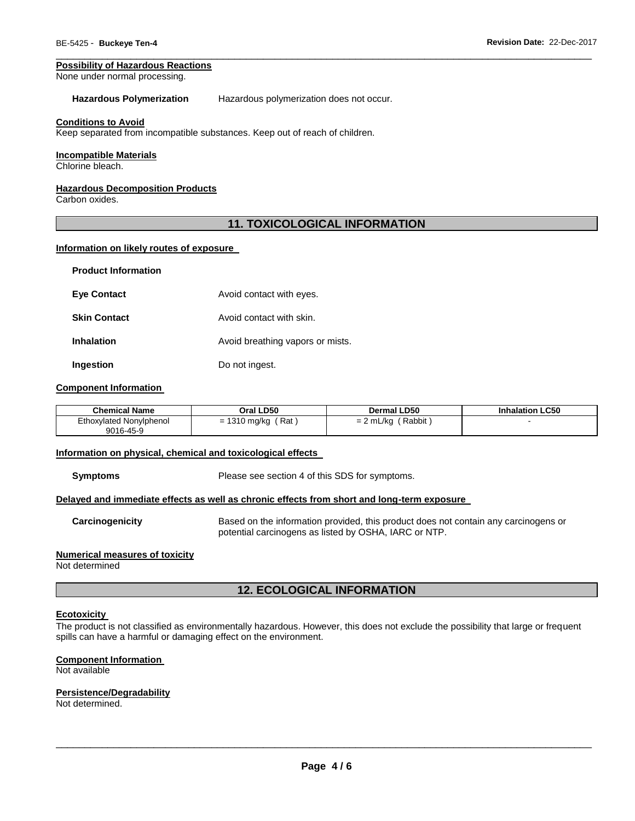#### **Possibility of Hazardous Reactions**

None under normal processing.

#### **Hazardous Polymerization** Hazardous polymerization does not occur.

#### **Conditions to Avoid**

Keep separated from incompatible substances. Keep out of reach of children.

#### **Incompatible Materials**

Chlorine bleach.

#### **Hazardous Decomposition Products**

Carbon oxides.

# **11. TOXICOLOGICAL INFORMATION**

\_\_\_\_\_\_\_\_\_\_\_\_\_\_\_\_\_\_\_\_\_\_\_\_\_\_\_\_\_\_\_\_\_\_\_\_\_\_\_\_\_\_\_\_\_\_\_\_\_\_\_\_\_\_\_\_\_\_\_\_\_\_\_\_\_\_\_\_\_\_\_\_\_\_\_\_\_\_\_\_\_\_\_\_\_\_\_\_\_\_\_\_\_

# **Information on likely routes of exposure**

| <b>Product Information</b> |                                  |
|----------------------------|----------------------------------|
| <b>Eve Contact</b>         | Avoid contact with eyes.         |
| <b>Skin Contact</b>        | Avoid contact with skin.         |
| <b>Inhalation</b>          | Avoid breathing vapors or mists. |
| Ingestion                  | Do not ingest.                   |

#### **Component Information**

| <b>Chemical Name</b>    | Oral LD50  | <b>Dermal LD50</b> | <b>Inhalation LC50</b> |
|-------------------------|------------|--------------------|------------------------|
| Ethoxylated Nonylphenol | Rat        | Rabbit             |                        |
| 9016-45-9               | 1310 mg/kg | $= 2$ mL/kg        |                        |

#### **Information on physical, chemical and toxicological effects**

**Symptoms** Please see section 4 of this SDS for symptoms.

#### **Delayed and immediate effects as well as chronic effects from short and long-term exposure**

**Carcinogenicity** Based on the information provided, this product does not contain any carcinogens or potential carcinogens as listed by OSHA, IARC or NTP.

#### **Numerical measures of toxicity**

Not determined

# **12. ECOLOGICAL INFORMATION**

#### **Ecotoxicity**

The product is not classified as environmentally hazardous. However, this does not exclude the possibility that large or frequent spills can have a harmful or damaging effect on the environment.

#### **Component Information**

Not available

# **Persistence/Degradability**

Not determined.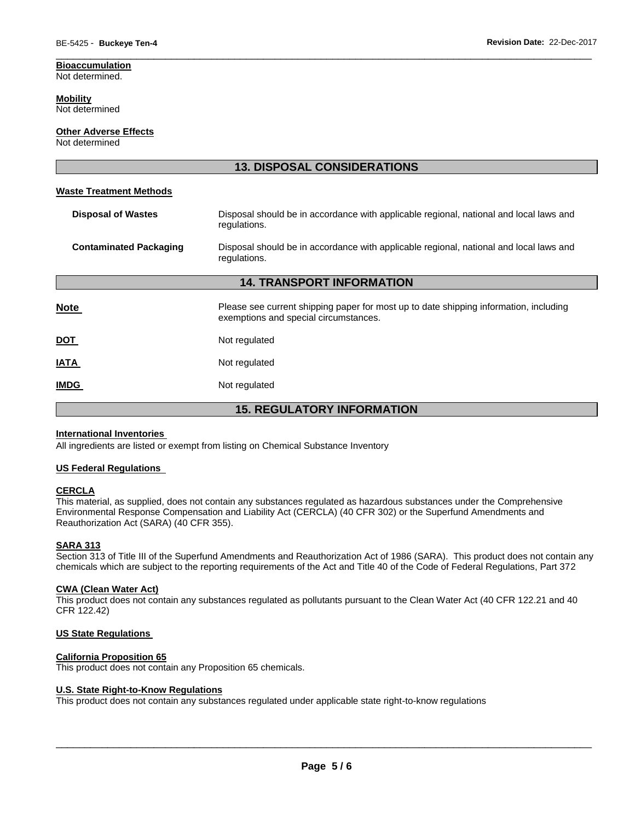# **Bioaccumulation**

Not determined.

# **Mobility**

Not determined

# **Other Adverse Effects**

Not determined

| <b>13. DISPOSAL CONSIDERATIONS</b> |                                                                                                                                |  |  |
|------------------------------------|--------------------------------------------------------------------------------------------------------------------------------|--|--|
| <b>Waste Treatment Methods</b>     |                                                                                                                                |  |  |
| <b>Disposal of Wastes</b>          | Disposal should be in accordance with applicable regional, national and local laws and<br>regulations.                         |  |  |
| <b>Contaminated Packaging</b>      | Disposal should be in accordance with applicable regional, national and local laws and<br>regulations.                         |  |  |
| <b>14. TRANSPORT INFORMATION</b>   |                                                                                                                                |  |  |
| <b>Note</b>                        | Please see current shipping paper for most up to date shipping information, including<br>exemptions and special circumstances. |  |  |
| <b>DOT</b>                         | Not regulated                                                                                                                  |  |  |
| <u>IATA</u>                        | Not regulated                                                                                                                  |  |  |
| <b>IMDG</b>                        | Not regulated                                                                                                                  |  |  |
| <b>15. REGULATORY INFORMATION</b>  |                                                                                                                                |  |  |

\_\_\_\_\_\_\_\_\_\_\_\_\_\_\_\_\_\_\_\_\_\_\_\_\_\_\_\_\_\_\_\_\_\_\_\_\_\_\_\_\_\_\_\_\_\_\_\_\_\_\_\_\_\_\_\_\_\_\_\_\_\_\_\_\_\_\_\_\_\_\_\_\_\_\_\_\_\_\_\_\_\_\_\_\_\_\_\_\_\_\_\_\_

# **International Inventories**

All ingredients are listed or exempt from listing on Chemical Substance Inventory

# **US Federal Regulations**

# **CERCLA**

This material, as supplied, does not contain any substances regulated as hazardous substances under the Comprehensive Environmental Response Compensation and Liability Act (CERCLA) (40 CFR 302) or the Superfund Amendments and Reauthorization Act (SARA) (40 CFR 355).

# **SARA 313**

Section 313 of Title III of the Superfund Amendments and Reauthorization Act of 1986 (SARA). This product does not contain any chemicals which are subject to the reporting requirements of the Act and Title 40 of the Code of Federal Regulations, Part 372

# **CWA (Clean Water Act)**

This product does not contain any substances regulated as pollutants pursuant to the Clean Water Act (40 CFR 122.21 and 40 CFR 122.42)

# **US State Regulations**

# **California Proposition 65**

This product does not contain any Proposition 65 chemicals.

# **U.S. State Right-to-Know Regulations**

This product does not contain any substances regulated under applicable state right-to-know regulations